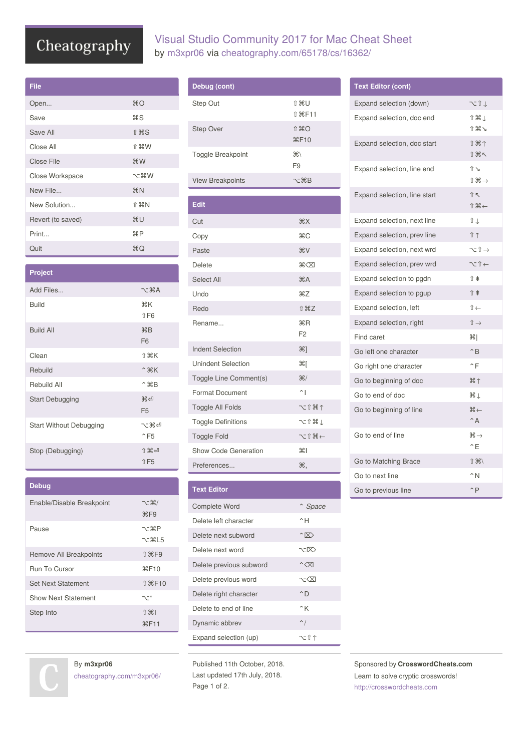# Cheatography

| File              |                 |
|-------------------|-----------------|
| Open              | $_{\rm \#O}$    |
| Save              | ЖS              |
| Save All          | <b>介出S</b>      |
| Close All         | <b>介 劣 W</b>    |
| Close File        | $*W$            |
| Close Workspace   | てまM             |
| New File          | H N             |
| New Solution      | <b>↑ 米N</b>     |
| Revert (to saved) | ЖU              |
| Print             | <b>\Compare</b> |
| Quit              | ЖQ              |

| <b>Project</b>                 |                                  |
|--------------------------------|----------------------------------|
| Add Files                      | $\neg$ $\forall$ $\forall$ A     |
| Build                          | ЖK<br>$1$ F <sub>6</sub>         |
| <b>Build All</b>               | HRB<br>F <sub>6</sub>            |
| Clean                          | ↑ ポK                             |
| Rebuild                        | $^{\circ}$ $*$ $K$               |
| Rebuild All                    | $^{\circ}$ $\mathcal{A}$ $B$     |
| <b>Start Debugging</b>         | $\Re$<br>F <sub>5</sub>          |
| <b>Start Without Debugging</b> | 人器句<br>$^{\circ}$ F <sub>5</sub> |
| Stop (Debugging)               | 1998年<br><b>↑F5</b>              |

| <b>Debug</b>               |                                    |
|----------------------------|------------------------------------|
| Enable/Disable Breakpoint  | 飞 ポ/<br>$\frac{1}{25}$ F9          |
| Pause                      | $\nabla$ - $\mathcal{H}$   5       |
| Remove All Breakpoints     | $\hat{\parallel}$ $\mathcal{H}$ F9 |
| Run To Cursor              | <b>XF10</b>                        |
| <b>Set Next Statement</b>  | <b>介 36 F10</b>                    |
| <b>Show Next Statement</b> | ╲ <sup>─</sup> *                   |
| Step Into                  | $\hat{H}$ $\hat{H}$<br><b>#F11</b> |

### Visual Studio Community 2017 for Mac Cheat Sheet by [m3xpr06](http://www.cheatography.com/m3xpr06/) via [cheatography.com/65178/cs/16362/](http://www.cheatography.com/m3xpr06/cheat-sheets/visual-studio-community-2017-for-mac)

| Debug (cont)             |                                                |
|--------------------------|------------------------------------------------|
| Step Out                 | <b>介出U</b><br>$f$ $\mathbb{R}$ F <sub>11</sub> |
| <b>Step Over</b>         | ⇑黑⋂<br>#F10                                    |
| <b>Toggle Breakpoint</b> | $\mathcal{H}$<br>F <sub>9</sub>                |
| <b>View Breakpoints</b>  | ヾ゠゚゚゚゚゚゚゚゚゚゚゚ヸ゚ゖ                               |

| <b>Edit</b>               |                              |
|---------------------------|------------------------------|
| Cut                       | AX                           |
| Copy                      | $rac{1}{2}$                  |
| Paste                     | <b>HX</b>                    |
| Delete                    | $\mathbb{R}\times\mathbb{Z}$ |
| Select All                | #A                           |
| Undo                      | $\frac{1}{2}$                |
| Redo                      | <b>介 出乙</b>                  |
| Rename                    | HRR<br>F <sub>2</sub>        |
| <b>Indent Selection</b>   | $\mathcal{H}$ ]              |
| <b>Unindent Selection</b> | भ्रा                         |
| Toggle Line Comment(s)    | $\frac{1}{2}$                |
| <b>Format Document</b>    | $^{\sim}$                    |
| <b>Toggle All Folds</b>   | 〜18个                         |
| <b>Toggle Definitions</b> | ℃ ↑ 米↓                       |
| <b>Toggle Fold</b>        | →第 们 一                       |
| Show Code Generation      | #I                           |
| Preferences               | Ж,                           |

| <b>Text Editor</b>      |                    |
|-------------------------|--------------------|
| Complete Word           | ^ Space            |
| Delete left character   | ^Η                 |
| Delete next subword     | $\hat{ }$          |
| Delete next word        | 7-1X)              |
| Delete previous subword | $\hat{}$ $\propto$ |
| Delete previous word    | ヽ‐く又               |
| Delete right character  | $^{\circ}$ D       |
| Delete to end of line   | ^K                 |
| Dynamic abbrev          | $\sim$ /           |
| Expand selection (up)   | てきす                |

Published 11th October, 2018. Last updated 17th July, 2018. Page 1 of 2.

| <b>Text Editor (cont)</b>    |                                      |
|------------------------------|--------------------------------------|
| Expand selection (down)      |                                      |
| Expand selection, doc end    | Î₩↓                                  |
|                              | Ⅱ米→                                  |
| Expand selection, doc start  | ↑米↑                                  |
|                              | 介出下<br>$\hat{\mathbb{I}}$            |
| Expand selection, line end   | $\hat{L}$ $\mathbb{H}$ $\rightarrow$ |
| Expand selection, line start | $\hat{\parallel}$                    |
|                              | $\mathcal{H}$                        |
| Expand selection, next line  | îι                                   |
| Expand selection, prev line  | Ⅱ↑                                   |
| Expand selection, next wrd   | ╲╴⇧ →                                |
| Expand selection, prev wrd   | $\sim$ 1 $\leftarrow$                |
| Expand selection to pgdn     | î ŧ                                  |
| Expand selection to pgup     | ↑ ≇                                  |
| Expand selection, left       | $\hat{\mathbb{I}} \leftarrow$        |
| Expand selection, right      | $\mathbb{\hat{I}}$ $\rightarrow$     |
| Find caret                   | Ж∣                                   |
| Go left one character        | $\hat{}$ B                           |
| Go right one character       | $\mathsf{f}$ F                       |
| Go to beginning of doc       | # ↑                                  |
| Go to end of doc             | ЖŢ                                   |
| Go to beginning of line      | $\cong$                              |
|                              | $^{\wedge}$ A                        |
| Go to end of line            | $\Re \rightarrow$<br>^Ε              |
| Go to Matching Brace         | $\hat{u}$ $\mathcal{H}$              |
| Go to next line              | $^{\wedge}$ N                        |
| Go to previous line          | $^{\wedge}$ P                        |

Sponsored by **CrosswordCheats.com** Learn to solve cryptic crosswords! <http://crosswordcheats.com>

By **m3xpr06** [cheatography.com/m3xpr06/](http://www.cheatography.com/m3xpr06/)